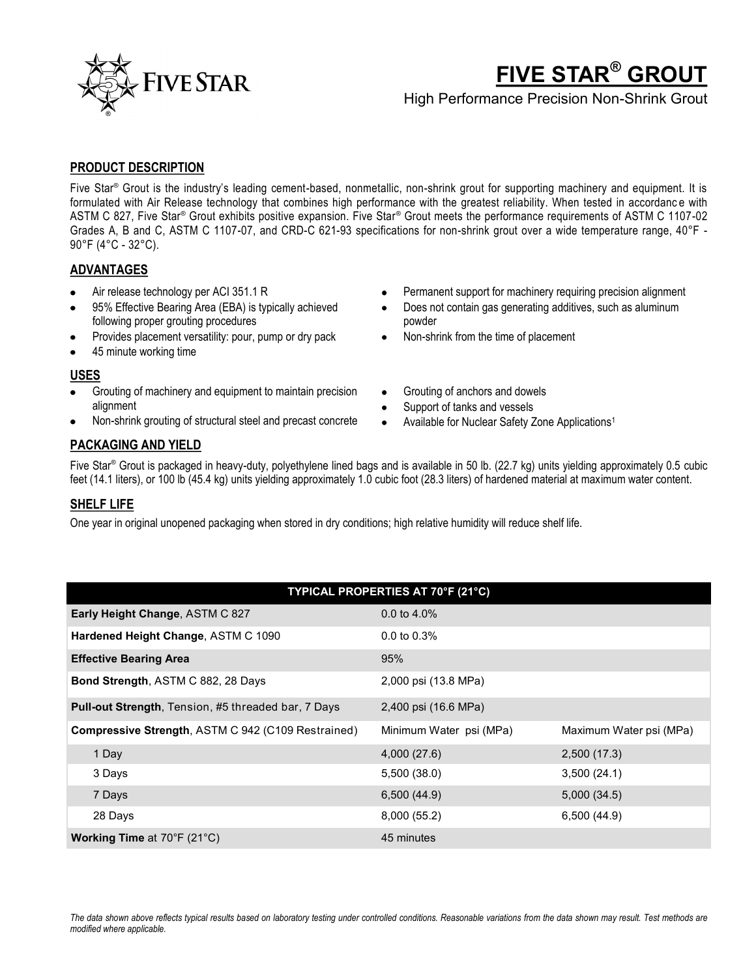

# **FIVE STAR® GROUT**

High Performance Precision Non-Shrink Grout

### **PRODUCT DESCRIPTION**

Five Star® Grout is the industry's leading cement-based, nonmetallic, non-shrink grout for supporting machinery and equipment. It is formulated with Air Release technology that combines high performance with the greatest reliability. When tested in accordanc e with ASTM C 827, Five Star<sup>®</sup> Grout exhibits positive expansion. Five Star® Grout meets the performance requirements of ASTM C 1107-02 Grades A, B and C, ASTM C 1107-07, and CRD-C 621-93 specifications for non-shrink grout over a wide temperature range, 40°F - 90°F (4°C - 32°C).

## **ADVANTAGES**

- Air release technology per ACI 351.1 R
- 95% Effective Bearing Area (EBA) is typically achieved following proper grouting procedures
- Provides placement versatility: pour, pump or dry pack
- 45 minute working time

#### **USES**

- Grouting of machinery and equipment to maintain precision alignment
- Non-shrink grouting of structural steel and precast concrete
- Grouting of anchors and dowels
- Support of tanks and vessels
- Available for Nuclear Safety Zone Applications1

#### **PACKAGING AND YIELD**

Five Star® Grout is packaged in heavy-duty, polyethylene lined bags and is available in 50 lb. (22.7 kg) units yielding approximately 0.5 cubic feet (14.1 liters), or 100 lb (45.4 kg) units yielding approximately 1.0 cubic foot (28.3 liters) of hardened material at maximum water content.

#### **SHELF LIFE**

One year in original unopened packaging when stored in dry conditions; high relative humidity will reduce shelf life.

| TYPICAL PROPERTIES AT 70°F (21°C)                          |                         |                         |  |
|------------------------------------------------------------|-------------------------|-------------------------|--|
| Early Height Change, ASTM C 827                            | 0.0 to $4.0\%$          |                         |  |
| Hardened Height Change, ASTM C 1090                        | $0.0 \text{ to } 0.3\%$ |                         |  |
| <b>Effective Bearing Area</b>                              | 95%                     |                         |  |
| Bond Strength, ASTM C 882, 28 Days                         | 2,000 psi (13.8 MPa)    |                         |  |
| <b>Pull-out Strength, Tension, #5 threaded bar, 7 Days</b> | 2,400 psi (16.6 MPa)    |                         |  |
| Compressive Strength, ASTM C 942 (C109 Restrained)         | Minimum Water psi (MPa) | Maximum Water psi (MPa) |  |
| 1 Day                                                      | 4,000(27.6)             | 2,500 (17.3)            |  |
| 3 Days                                                     | 5,500 (38.0)            | 3,500(24.1)             |  |
| 7 Days                                                     | 6,500(44.9)             | 5,000(34.5)             |  |
| 28 Days                                                    | 8,000 (55.2)            | 6,500(44.9)             |  |
| <b>Working Time at 70°F (21°C)</b>                         | 45 minutes              |                         |  |

- Permanent support for machinery requiring precision alignment
- Does not contain gas generating additives, such as aluminum powder
- Non-shrink from the time of placement